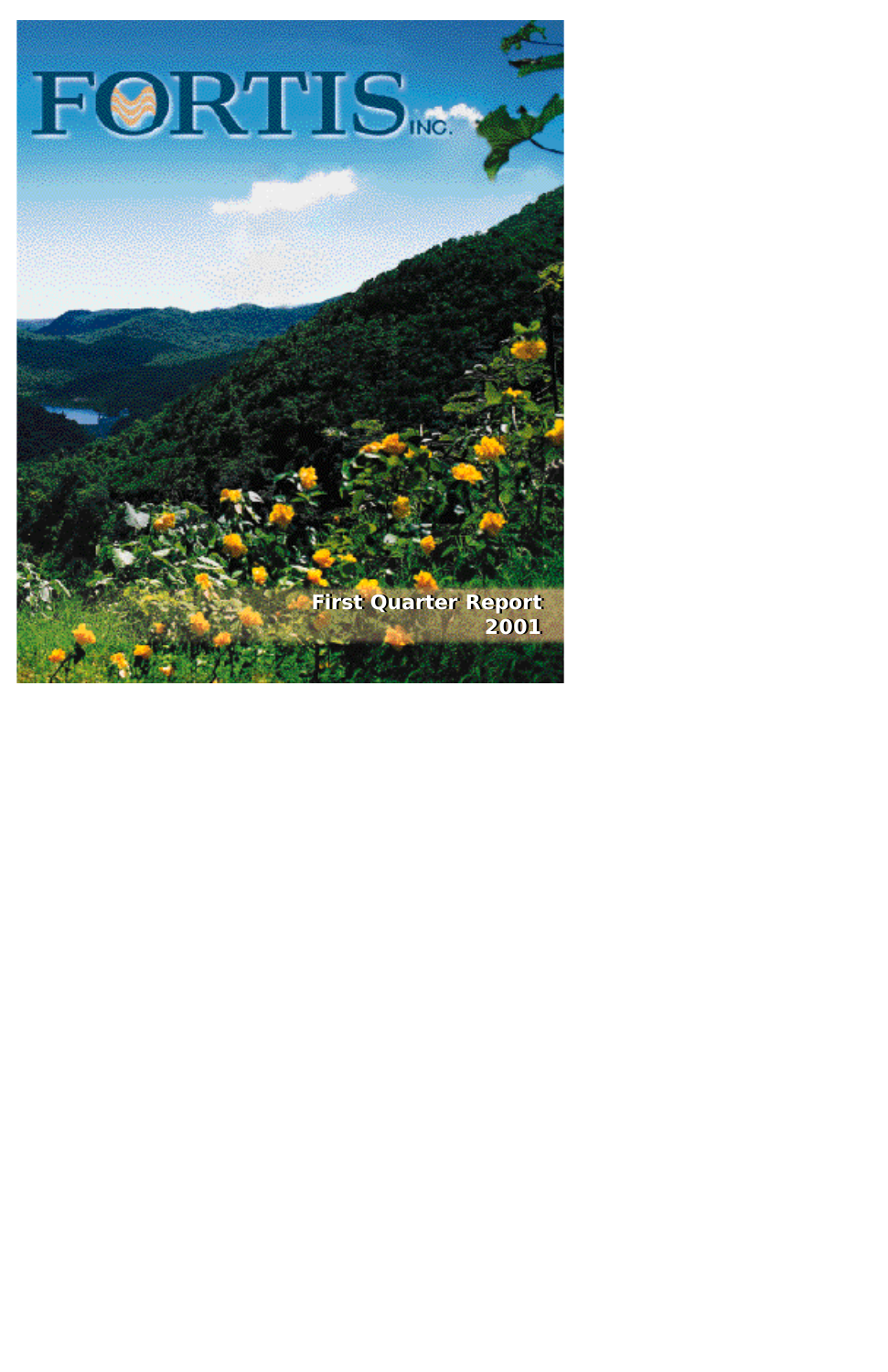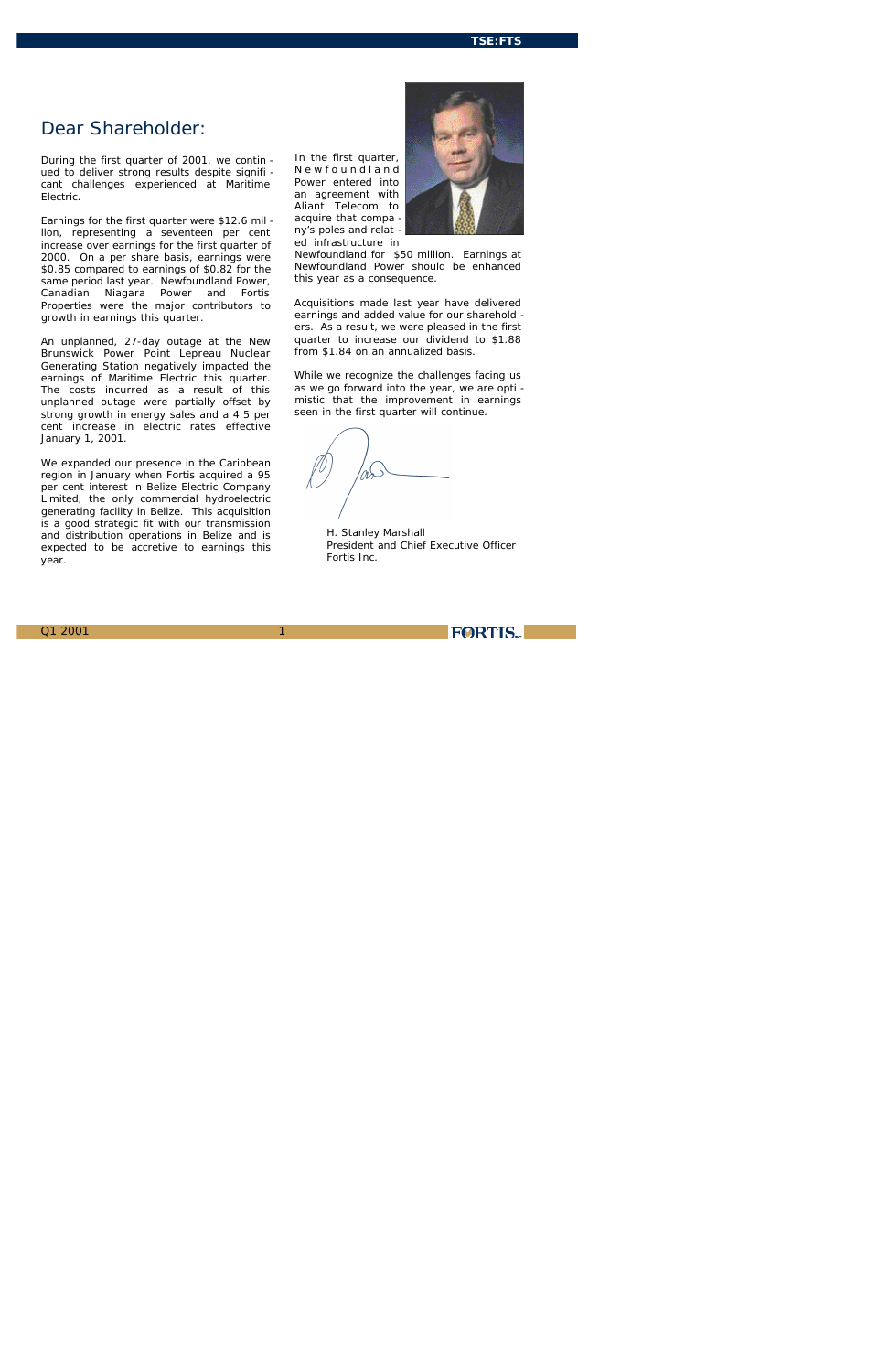### **TSE:FTS**

1

# *Dear Shareholder:*

*During the first quarter of 2001, we contin ued to deliver strong results despite signifi cant challenges experienced at Maritime Electric.*

*Earnings for the first quarter were \$12.6 mil lion, representing a seventeen per cent increase over earnings for the first quarter of 2000. On a per share basis, earnings were \$0.85 compared to earnings of \$0.82 for the same period last year. Newfoundland Power, Canadian Niagara Power and Fortis Properties were the major contributors to growth in earnings this quarter.*

*An unplanned, 27-day outage at the New Brunswick Power Point Lepreau Nuclear Generating Station negatively impacted the earnings of Maritime Electric this quarter. The costs incurred as a result of this unplanned outage were partially offset by strong growth in energy sales and a 4.5 per cent increase in electric rates effective January 1, 2001.*

*We expanded our presence in the Caribbean region in January when Fortis acquired a 95 per cent interest in Belize Electric Company Limited, the only commercial hydroelectric generating facility in Belize. This acquisition is a good strategic fit with our transmission and distribution operations in Belize and is expected to be accretive to earnings this year.*

*In the first quarter, N e w f o u n d l a n d Power entered into an agreement with Aliant Telecom to acquire that compa ny's poles and relat ed infrastructure in*



*Newfoundland for \$50 million. Earnings at Newfoundland Power should be enhanced this year as a consequence.*

*Acquisitions made last year have delivered earnings and added value for our sharehold ers. As a result, we were pleased in the first quarter to increase our dividend to \$1.88 from \$1.84 on an annualized basis.* 

*While we recognize the challenges facing us as we go forward into the year, we are opti mistic that the improvement in earnings seen in the first quarter will continue.*

*H. Stanley Marshall President and Chief Executive Officer Fortis Inc.*

Q1 2001

**FORTIS**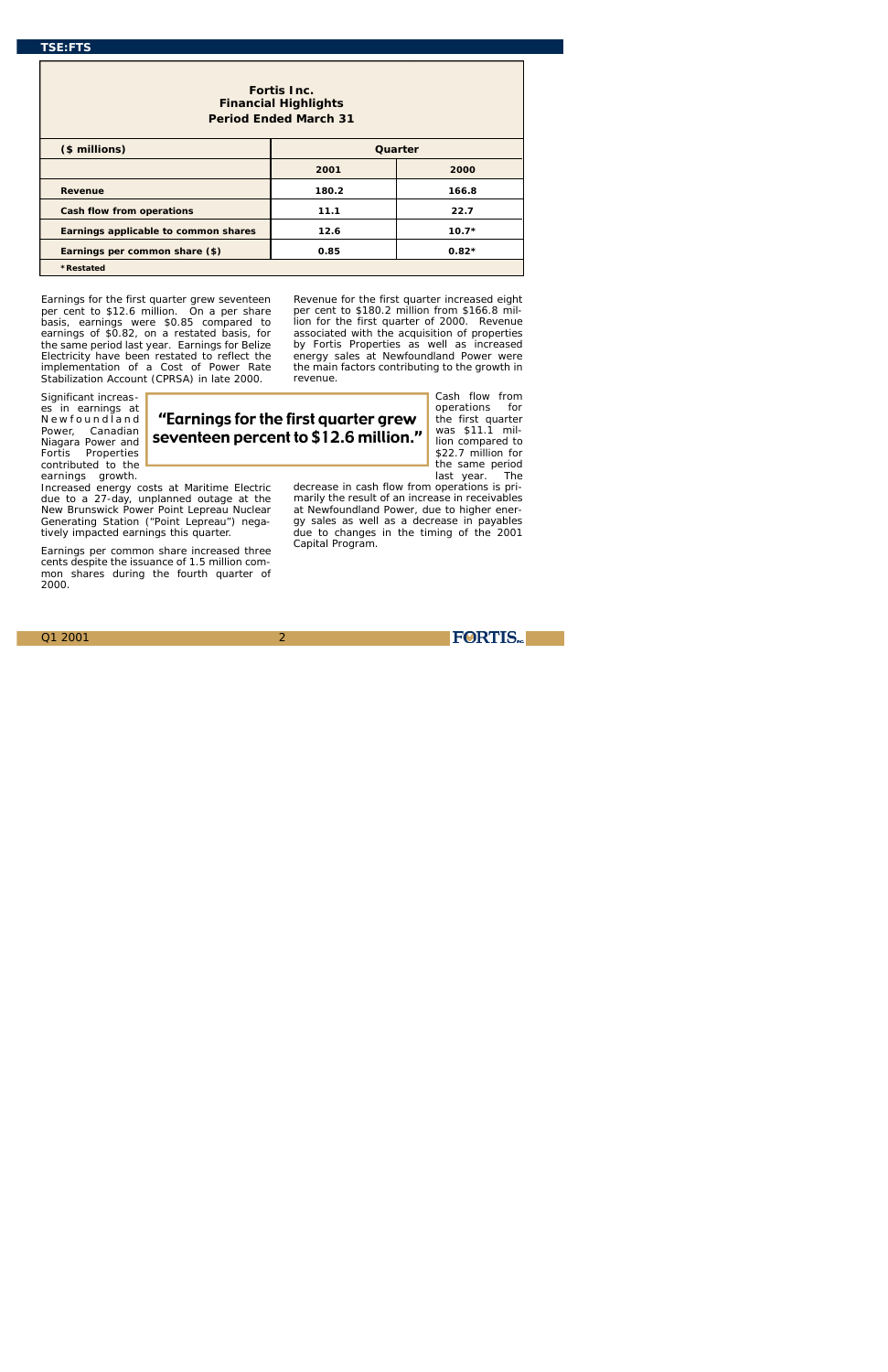Earnings for the first quarter grew seventeen per cent to \$12.6 million. On a per share basis, earnings were \$0.85 compared to earnings of \$0.82, on a restated basis, for the same period last year. Earnings for Belize Electricity have been restated to reflect the implementation of a Cost of Power Rate Stabilization Account (CPRSA) in late 2000.

Significant increases in earnings at Newfoundland Power, Canadian Niagara Power and Fortis Properties contributed to the earnings growth.

Cash flow from operations for

Increased energy costs at Maritime Electric due to a 27-day, unplanned outage at the New Brunswick Power Point Lepreau Nuclear Generating Station ("Point Lepreau") negatively impacted earnings this quarter.

Earnings per common share increased three cents despite the issuance of 1.5 million common shares during the fourth quarter of 2000.

Revenue for the first quarter increased eight per cent to \$180.2 million from \$166.8 million for the first quarter of 2000. Revenue associated with the acquisition of properties by Fortis Properties as well as increased energy sales at Newfoundland Power were the main factors contributing to the growth in revenue.

marily the result of an increase in receivables at Newfoundland Power, due to higher energy sales as well as a decrease in payables due to changes in the timing of the 2001 Capital Program.

**FORTIS** 

the first quarter was \$11.1 million compared to \$22.7 million for the same period last year. The decrease in cash flow from operations is pri-''Earnings for the first quarter grew seventeen percent to \$12.6 million.''

# **Fortis Inc. Financial Highlights Period Ended March 31**

| (\$ millions)                        | Quarter |         |  |  |  |
|--------------------------------------|---------|---------|--|--|--|
|                                      | 2001    | 2000    |  |  |  |
| <b>Revenue</b>                       | 180.2   | 166.8   |  |  |  |
| <b>Cash flow from operations</b>     | 11.1    | 22.7    |  |  |  |
| Earnings applicable to common shares | 12.6    | $10.7*$ |  |  |  |
| Earnings per common share (\$)       | 0.85    | $0.82*$ |  |  |  |
| <i><b>*Restated</b></i>              |         |         |  |  |  |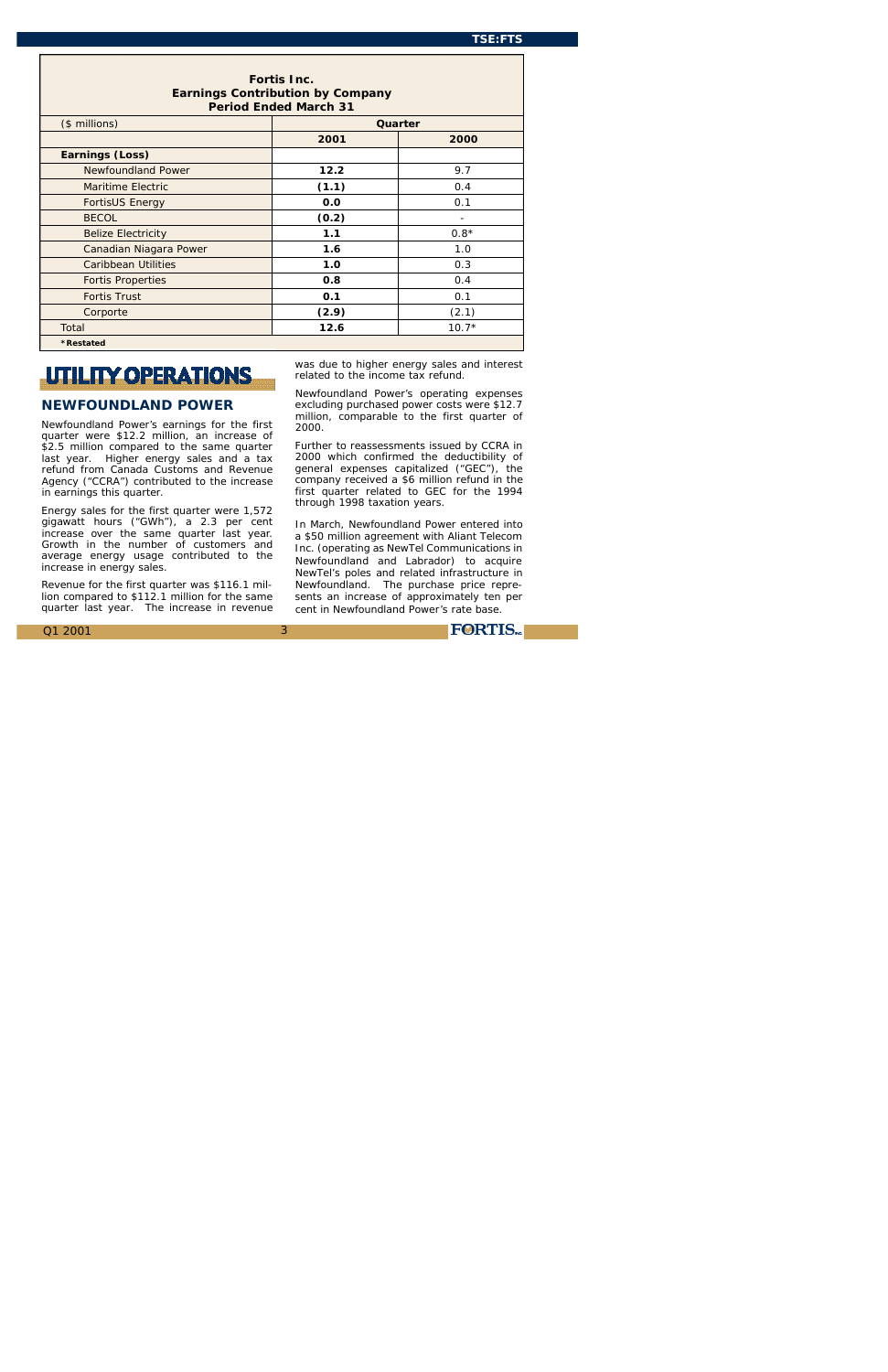3

# **UTILITY OPERATIONS**

# **NEWFOUNDLAND POWER**

Newfoundland Power's earnings for the first quarter were \$12.2 million, an increase of \$2.5 million compared to the same quarter last year. Higher energy sales and a tax refund from Canada Customs and Revenue Agency ("CCRA") contributed to the increase in earnings this quarter.

Energy sales for the first quarter were 1,572 gigawatt hours ("GWh"), a 2.3 per cent increase over the same quarter last year. Growth in the number of customers and average energy usage contributed to the increase in energy sales.

Revenue for the first quarter was \$116.1 million compared to \$112.1 million for the same quarter last year. The increase in revenue was due to higher energy sales and interest related to the income tax refund.

Newfoundland Power's operating expenses excluding purchased power costs were \$12.7 million, comparable to the first quarter of 2000.

Further to reassessments issued by CCRA in 2000 which confirmed the deductibility of general expenses capitalized ("GEC"), the company received a \$6 million refund in the first quarter related to GEC for the 1994 through 1998 taxation years.

In March, Newfoundland Power entered into a \$50 million agreement with Aliant Telecom Inc. (operating as NewTel Communications in Newfoundland and Labrador) to acquire NewTel's poles and related infrastructure in Newfoundland. The purchase price represents an increase of approximately ten per cent in Newfoundland Power's rate base.

**FORTIS** 

| <b>Fortis Inc.</b><br><b>Earnings Contribution by Company</b><br><b>Period Ended March 31</b> |       |         |  |  |
|-----------------------------------------------------------------------------------------------|-------|---------|--|--|
| (\$ millions)                                                                                 |       | Quarter |  |  |
|                                                                                               | 2001  | 2000    |  |  |
| <b>Earnings (Loss)</b>                                                                        |       |         |  |  |
| <b>Newfoundland Power</b>                                                                     | 12.2  | 9.7     |  |  |
| <b>Maritime Electric</b>                                                                      | (1.1) | 0.4     |  |  |
| <b>FortisUS Energy</b>                                                                        | 0.0   | 0.1     |  |  |
| <b>BECOL</b>                                                                                  | (0.2) |         |  |  |
| <b>Belize Electricity</b>                                                                     | 1.1   | $0.8*$  |  |  |
| Canadian Niagara Power                                                                        | 1.6   | 1.0     |  |  |
| <b>Caribbean Utilities</b>                                                                    | 1.0   | 0.3     |  |  |
| <b>Fortis Properties</b>                                                                      | 0.8   | 0.4     |  |  |
| <b>Fortis Trust</b>                                                                           | 0.1   | 0.1     |  |  |
| Corporte                                                                                      | (2.9) | (2.1)   |  |  |
| Total                                                                                         | 12.6  | $10.7*$ |  |  |
| <i><b>*Restated</b></i>                                                                       |       |         |  |  |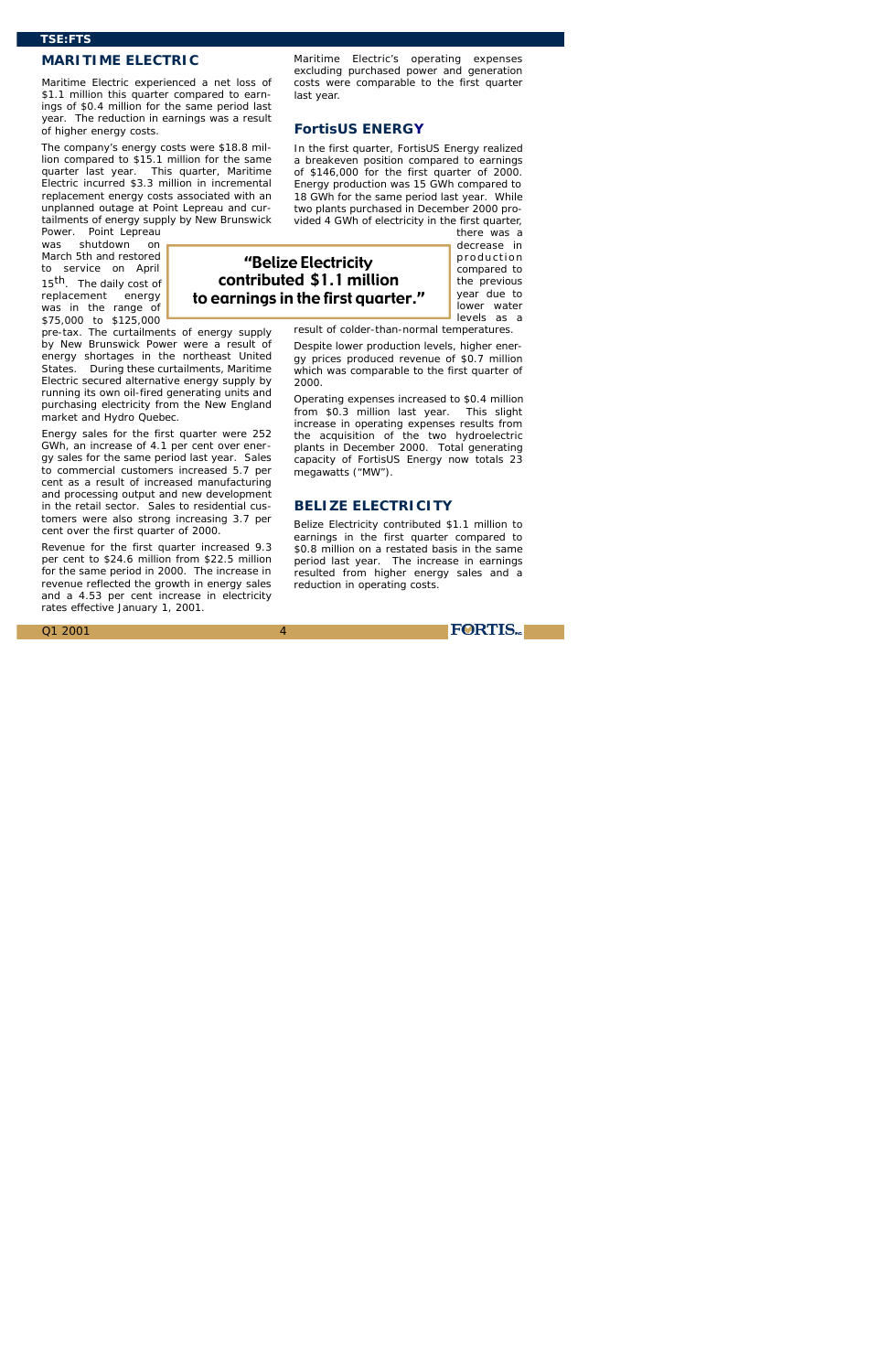### **MARITIME ELECTRIC**

Maritime Electric experienced a net loss of \$1.1 million this quarter compared to earnings of \$0.4 million for the same period last year. The reduction in earnings was a result of higher energy costs.

The company's energy costs were \$18.8 million compared to \$15.1 million for the same quarter last year. This quarter, Maritime Electric incurred \$3.3 million in incremental replacement energy costs associated with an unplanned outage at Point Lepreau and curtailments of energy supply by New Brunswick

Power. Point Lepreau was shutdown on March 5th and restored to service on April 15<sup>th</sup>. The daily cost of replacement energy was in the range of \$75,000 to \$125,000

pre-tax. The curtailments of energy supply by New Brunswick Power were a result of energy shortages in the northeast United States. During these curtailments, Maritime Electric secured alternative energy supply by running its own oil-fired generating units and purchasing electricity from the New England market and Hydro Quebec.

decrease in production compared to the previous year due to lower water levels as a

Energy sales for the first quarter were 252 GWh, an increase of 4.1 per cent over energy sales for the same period last year. Sales to commercial customers increased 5.7 per cent as a result of increased manufacturing and processing output and new development in the retail sector. Sales to residential customers were also strong increasing 3.7 per cent over the first quarter of 2000.

Revenue for the first quarter increased 9.3 per cent to \$24.6 million from \$22.5 million for the same period in 2000. The increase in revenue reflected the growth in energy sales and a 4.53 per cent increase in electricity rates effective January 1, 2001.

Maritime Electric's operating expenses excluding purchased power and generation costs were comparable to the first quarter last year.

### **FortisUS ENERGY**

In the first quarter, FortisUS Energy realized a breakeven position compared to earnings of \$146,000 for the first quarter of 2000. Energy production was 15 GWh compared to 18 GWh for the same period last year. While two plants purchased in December 2000 provided 4 GWh of electricity in the first quarter, there was a

result of colder-than-normal temperatures.

Despite lower production levels, higher energy prices produced revenue of \$0.7 million which was comparable to the first quarter of 2000.

Operating expenses increased to \$0.4 million from \$0.3 million last year. This slight increase in operating expenses results from the acquisition of the two hydroelectric plants in December 2000. Total generating capacity of FortisUS Energy now totals 23 megawatts ("MW").

### **BELIZE ELECTRICITY**

Belize Electricity contributed \$1.1 million to earnings in the first quarter compared to \$0.8 million on a restated basis in the same period last year. The increase in earnings resulted from higher energy sales and a reduction in operating costs.

**FORTIS** 

''Belize Electricity contributed \$1.1 million to earnings in the first quarter.''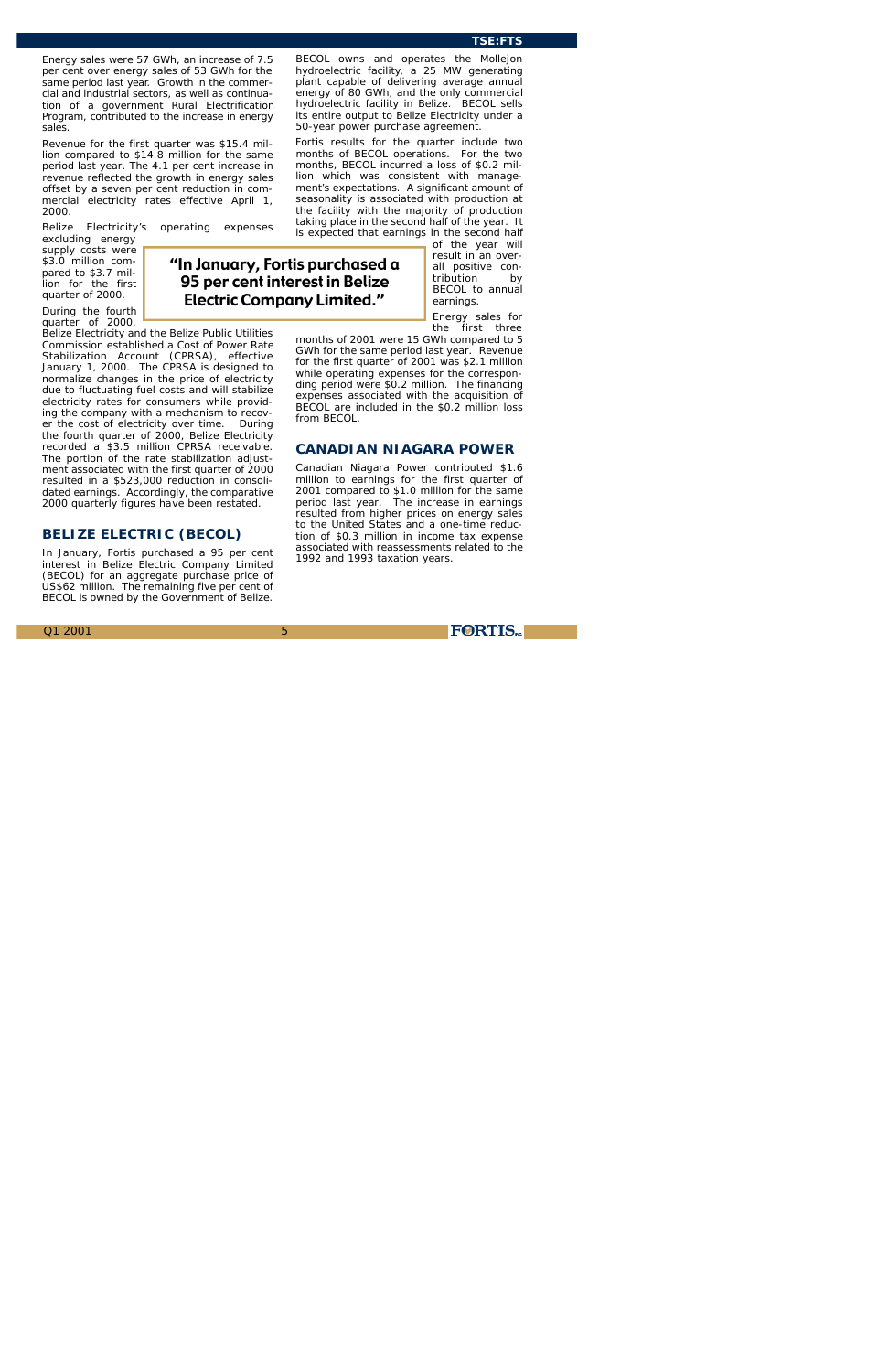Energy sales were 57 GWh, an increase of 7.5 per cent over energy sales of 53 GWh for the same period last year. Growth in the commercial and industrial sectors, as well as continuation of a government Rural Electrification Program, contributed to the increase in energy sales.

5

excluding energy supply costs were \$3.0 million compared to \$3.7 million for the first quarter of 2000.

Revenue for the first quarter was \$15.4 million compared to \$14.8 million for the same period last year. The 4.1 per cent increase in revenue reflected the growth in energy sales offset by a seven per cent reduction in commercial electricity rates effective April 1, 2000.

Belize Electricity's operating expenses

During the fourth quarter of 2000,

Belize Electricity and the Belize Public Utilities Commission established a Cost of Power Rate Stabilization Account (CPRSA), effective January 1, 2000. The CPRSA is designed to normalize changes in the price of electricity due to fluctuating fuel costs and will stabilize electricity rates for consumers while providing the company with a mechanism to recover the cost of electricity over time. During the fourth quarter of 2000, Belize Electricity recorded a \$3.5 million CPRSA receivable. The portion of the rate stabilization adjustment associated with the first quarter of 2000 resulted in a \$523,000 reduction in consolidated earnings. Accordingly, the comparative 2000 quarterly figures have been restated.

## **BELIZE ELECTRIC (BECOL)**

In January, Fortis purchased a 95 per cent interest in Belize Electric Company Limited (BECOL) for an aggregate purchase price of US\$62 million. The remaining five per cent of BECOL is owned by the Government of Belize.

BECOL owns and operates the Mollejon hydroelectric facility, a 25 MW generating plant capable of delivering average annual energy of 80 GWh, and the only commercial hydroelectric facility in Belize. BECOL sells its entire output to Belize Electricity under a 50-year power purchase agreement.

Fortis results for the quarter include two months of BECOL operations. For the two months, BECOL incurred a loss of \$0.2 million which was consistent with management's expectations. A significant amount of seasonality is associated with production at the facility with the majority of production taking place in the second half of the year. It is expected that earnings in the second half

of the year will result in an overall positive contribution by BECOL to annual earnings.

Energy sales for the first three

months of 2001 were 15 GWh compared to 5 GWh for the same period last year. Revenue for the first quarter of 2001 was \$2.1 million while operating expenses for the corresponding period were \$0.2 million. The financing expenses associated with the acquisition of BECOL are included in the \$0.2 million loss from BECOL.

# **CANADIAN NIAGARA POWER**

Canadian Niagara Power contributed \$1.6 million to earnings for the first quarter of 2001 compared to \$1.0 million for the same period last year. The increase in earnings resulted from higher prices on energy sales to the United States and a one-time reduction of \$0.3 million in income tax expense associated with reassessments related to the 1992 and 1993 taxation years.

''In January, Fortis purchased a 95 per cent interest in Belize Electric Company Limited.''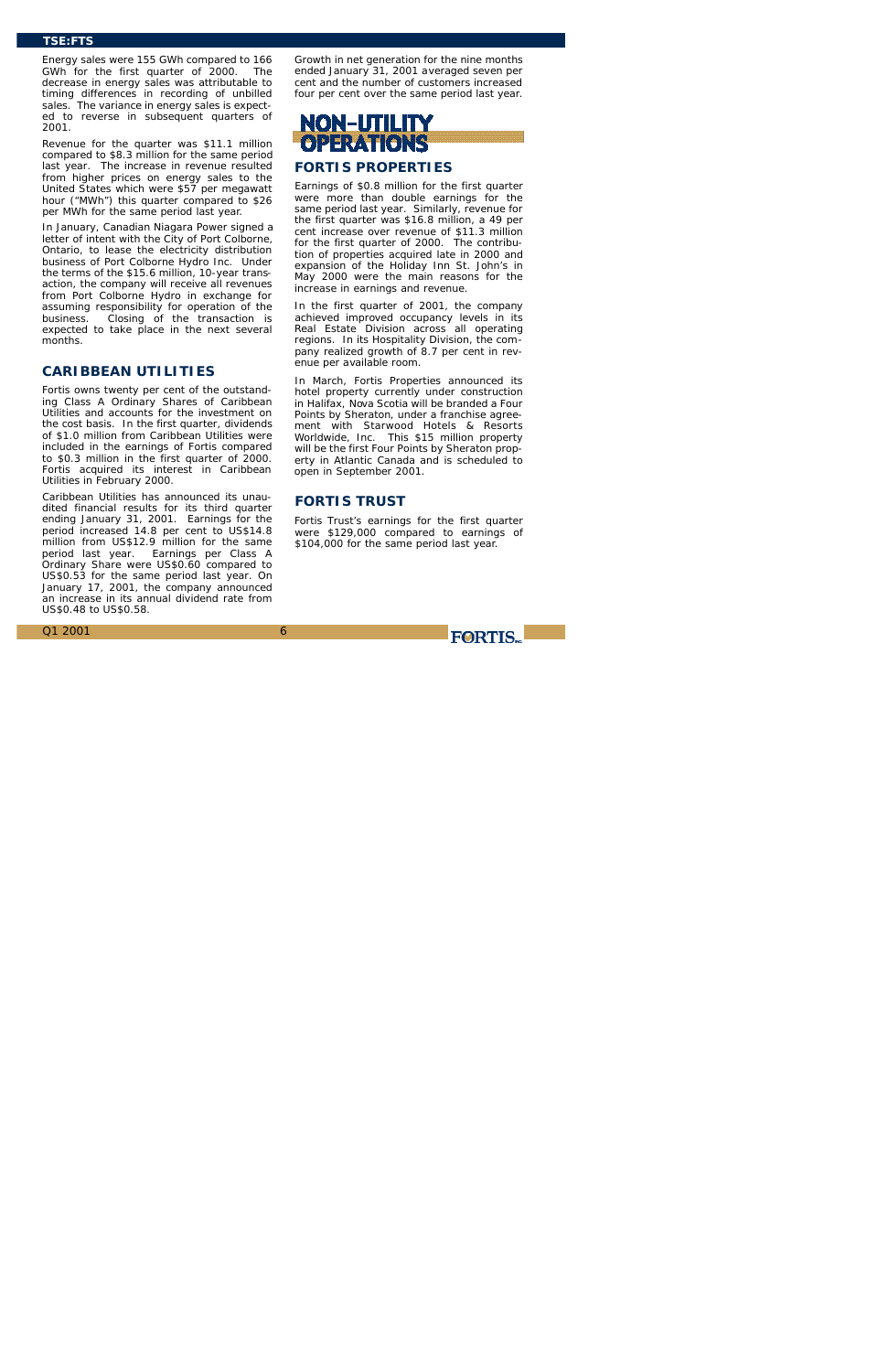Energy sales were 155 GWh compared to 166 GWh for the first quarter of 2000. The decrease in energy sales was attributable to timing differences in recording of unbilled sales. The variance in energy sales is expected to reverse in subsequent quarters of 2001.

Revenue for the quarter was \$11.1 million compared to \$8.3 million for the same period last year. The increase in revenue resulted from higher prices on energy sales to the United States which were \$57 per megawatt hour ("MWh") this quarter compared to \$26 per MWh for the same period last year.

In January, Canadian Niagara Power signed a letter of intent with the City of Port Colborne, Ontario, to lease the electricity distribution business of Port Colborne Hydro Inc. Under the terms of the \$15.6 million, 10-year transaction, the company will receive all revenues from Port Colborne Hydro in exchange for assuming responsibility for operation of the business. Closing of the transaction is expected to take place in the next several months.

# NON-UTILITY **OPERATIONS FORTIS PROPERTIES**

### **CARIBBEAN UTILITIES**

Fortis owns twenty per cent of the outstanding Class A Ordinary Shares of Caribbean Utilities and accounts for the investment on the cost basis. In the first quarter, dividends of \$1.0 million from Caribbean Utilities were included in the earnings of Fortis compared to \$0.3 million in the first quarter of 2000. Fortis acquired its interest in Caribbean Utilities in February 2000.

Caribbean Utilities has announced its unaudited financial results for its third quarter ending January 31, 2001. Earnings for the period increased 14.8 per cent to US\$14.8 million from US\$12.9 million for the same period last year. Earnings per Class A Ordinary Share were US\$0.60 compared to US\$0.53 for the same period last year. On January 17, 2001, the company announced an increase in its annual dividend rate from US\$0.48 to US\$0.58.

Growth in net generation for the nine months ended January 31, 2001 averaged seven per cent and the number of customers increased four per cent over the same period last year.

Earnings of \$0.8 million for the first quarter were more than double earnings for the same period last year. Similarly, revenue for the first quarter was \$16.8 million, a 49 per cent increase over revenue of \$11.3 million for the first quarter of 2000. The contribution of properties acquired late in 2000 and expansion of the Holiday Inn St. John's in May 2000 were the main reasons for the increase in earnings and revenue.

In the first quarter of 2001, the company achieved improved occupancy levels in its Real Estate Division across all operating regions. In its Hospitality Division, the company realized growth of 8.7 per cent in revenue per available room.

In March, Fortis Properties announced its hotel property currently under construction in Halifax, Nova Scotia will be branded a *Four Points by Sheraton*, under a franchise agreement with Starwood Hotels & Resorts Worldwide, Inc. This \$15 million property will be the first *Four Points by Sheraton* property in Atlantic Canada and is scheduled to open in September 2001.

# **FORTIS TRUST**

Fortis Trust's earnings for the first quarter were \$129,000 compared to earnings of \$104,000 for the same period last year.

**FORTIS** 

### **TSE:FTS**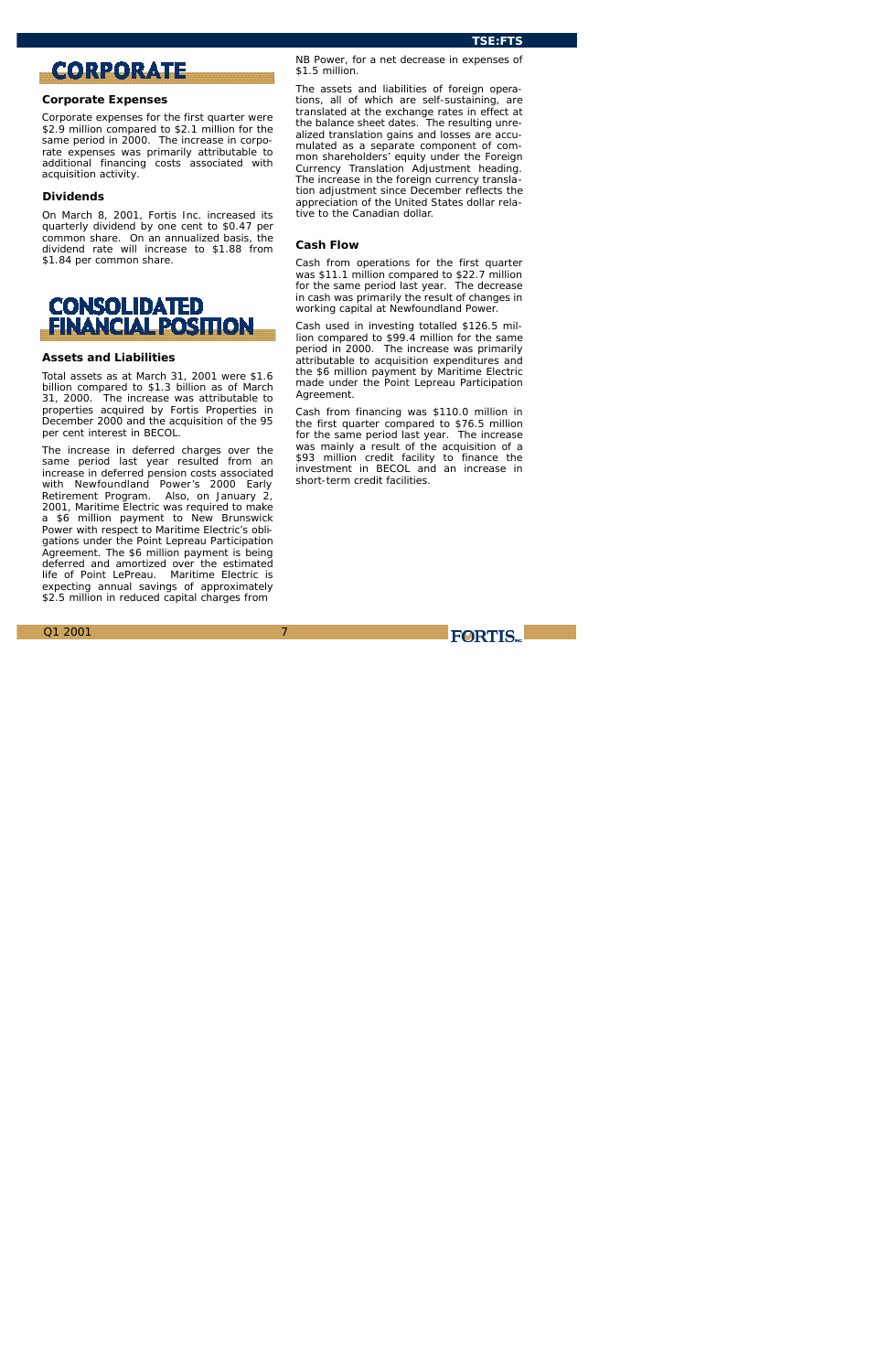# **CORPORATE**

7

### **Corporate Expenses**

Corporate expenses for the first quarter were \$2.9 million compared to \$2.1 million for the same period in 2000. The increase in corporate expenses was primarily attributable to additional financing costs associated with acquisition activity.

#### **Dividends**

On March 8, 2001, Fortis Inc. increased its quarterly dividend by one cent to \$0.47 per common share. On an annualized basis, the dividend rate will increase to \$1.88 from \$1.84 per common share.



### **Assets and Liabilities**

Total assets as at March 31, 2001 were \$1.6 billion compared to \$1.3 billion as of March 31, 2000. The increase was attributable to properties acquired by Fortis Properties in December 2000 and the acquisition of the 95 per cent interest in BECOL.

The increase in deferred charges over the same period last year resulted from an increase in deferred pension costs associated with Newfoundland Power's 2000 Early Retirement Program. Also, on January 2, 2001, Maritime Electric was required to make a \$6 million payment to New Brunswick Power with respect to Maritime Electric's obligations under the Point Lepreau Participation Agreement. The \$6 million payment is being deferred and amortized over the estimated life of Point LePreau. Maritime Electric is expecting annual savings of approximately \$2.5 million in reduced capital charges from

NB Power, for a net decrease in expenses of \$1.5 million.

The assets and liabilities of foreign operations, all of which are self-sustaining, are translated at the exchange rates in effect at the balance sheet dates. The resulting unrealized translation gains and losses are accumulated as a separate component of common shareholders' equity under the Foreign Currency Translation Adjustment heading. The increase in the foreign currency translation adjustment since December reflects the appreciation of the United States dollar relative to the Canadian dollar.

### **Cash Flow**

Cash from operations for the first quarter was \$11.1 million compared to \$22.7 million for the same period last year. The decrease in cash was primarily the result of changes in working capital at Newfoundland Power.

Cash used in investing totalled \$126.5 million compared to \$99.4 million for the same period in 2000. The increase was primarily attributable to acquisition expenditures and the \$6 million payment by Maritime Electric made under the Point Lepreau Participation Agreement.

Cash from financing was \$110.0 million in the first quarter compared to \$76.5 million for the same period last year. The increase was mainly a result of the acquisition of a \$93 million credit facility to finance the investment in BECOL and an increase in short-term credit facilities.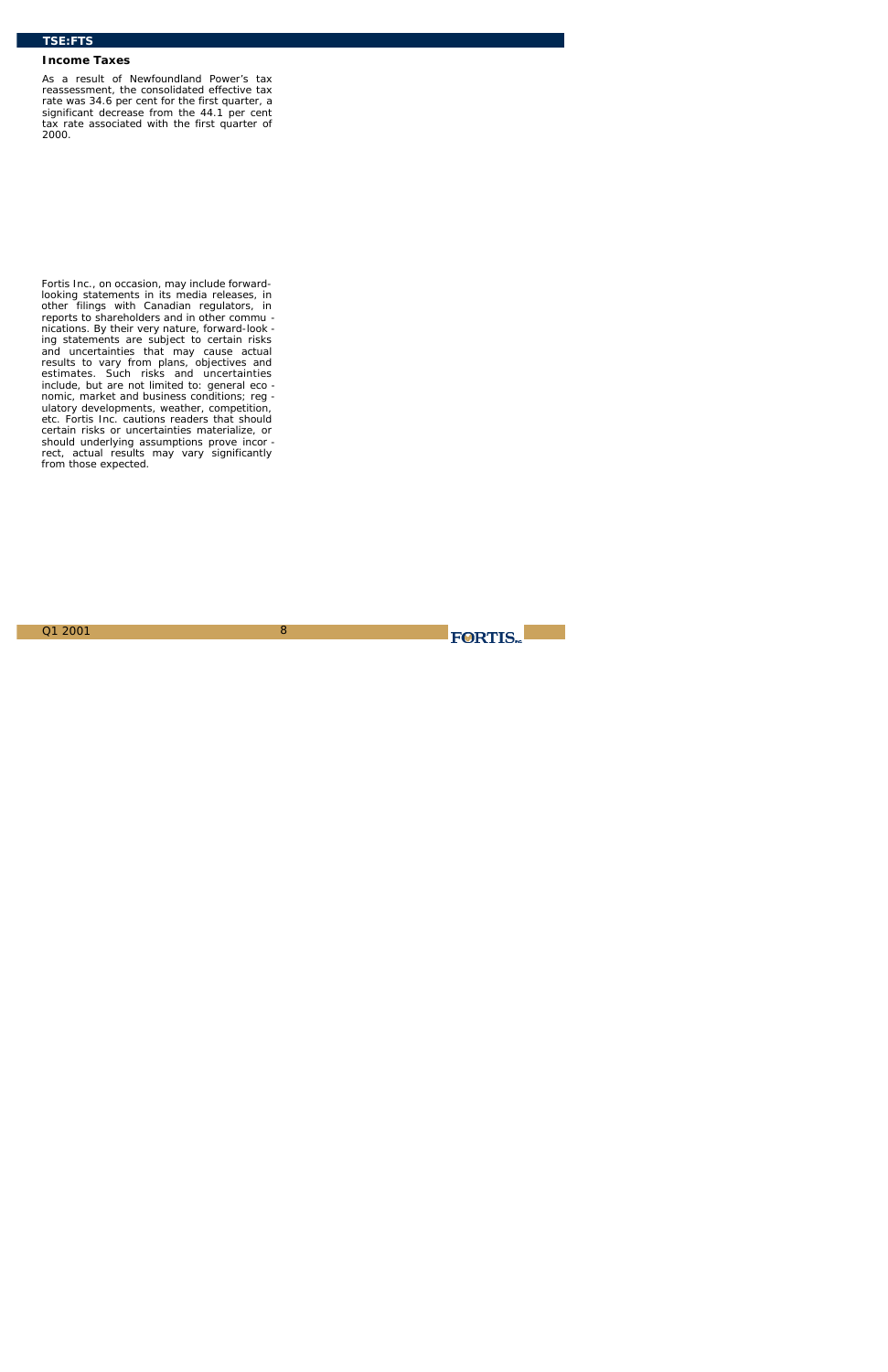### **Income Taxes**

As a result of Newfoundland Power's tax reassessment, the consolidated effective tax rate was 34.6 per cent for the first quarter, a significant decrease from the 44.1 per cent tax rate associated with the first quarter of 2000.

*Fortis Inc., on occasion, may include forwardlooking statements in its media releases, in other filings with Canadian regulators, in reports to shareholders and in other commu nications. By their very nature, forward-look ing statements are subject to certain risks and uncertainties that may cause actual results to vary from plans, objectives and estimates. Such risks and uncertainties include, but are not limited to: general eco nomic, market and business conditions; reg ulatory developments, weather, competition, etc. Fortis Inc. cautions readers that should certain risks or uncertainties materialize, or should underlying assumptions prove incor rect, actual results may vary significantly from those expected.*

FORTIS.  $Q1\ 2001$  8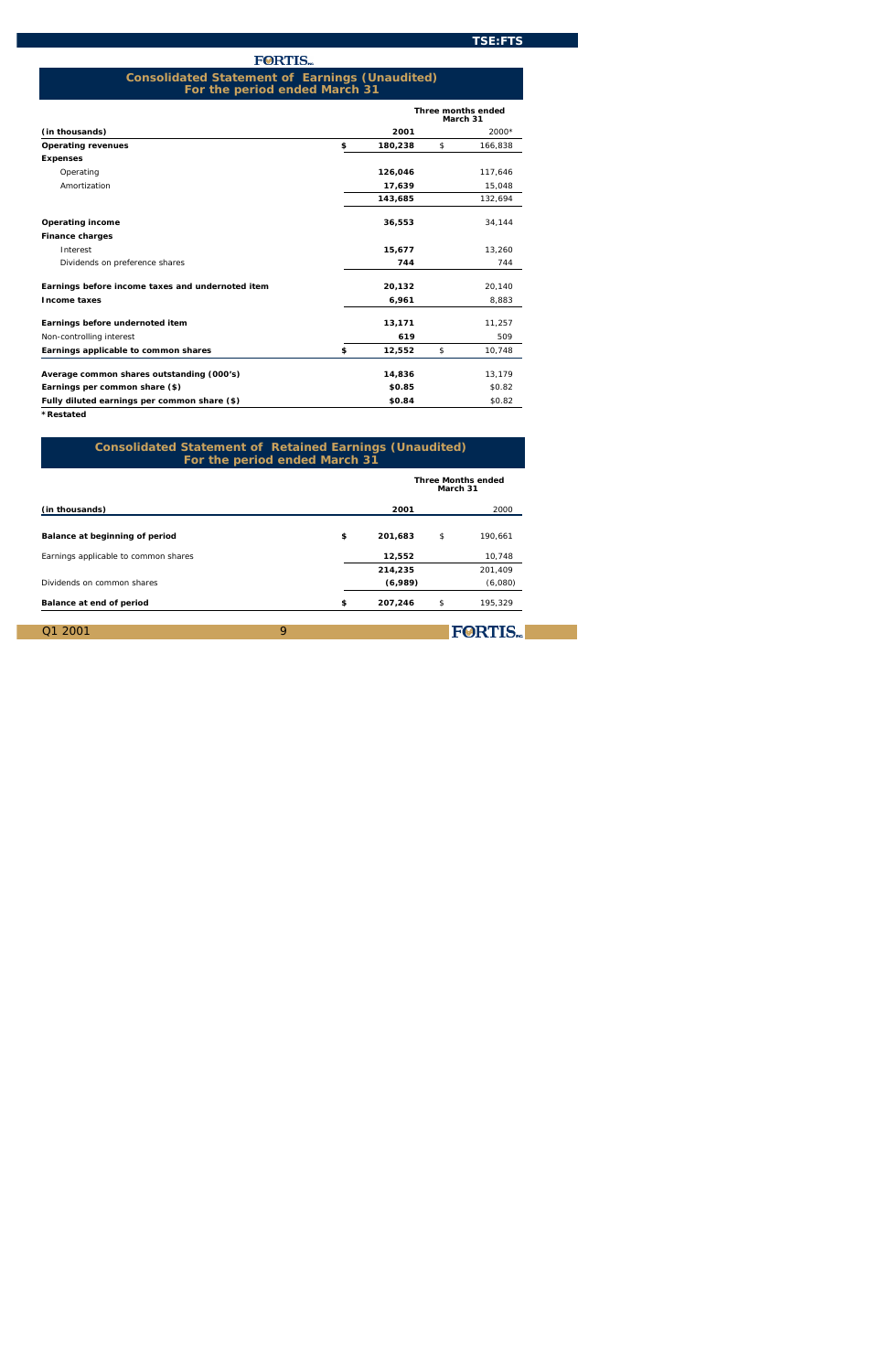| 200'<br>$\overline{\text{Q}}$ 1 | <b>FORTIS</b> |
|---------------------------------|---------------|
|                                 |               |

|                                                  |   |         |   | <b>Three months ended</b><br>March 31 |
|--------------------------------------------------|---|---------|---|---------------------------------------|
| ( <i>in thousands</i> )                          |   | 2001    |   | 2000*                                 |
| <b>Operating revenues</b>                        | s | 180.238 | s | 166.838                               |
| <b>Expenses</b>                                  |   |         |   |                                       |
| Operating                                        |   | 126,046 |   | 117,646                               |
| Amortization                                     |   | 17,639  |   | 15,048                                |
|                                                  |   | 143,685 |   | 132,694                               |
| <b>Operating income</b>                          |   | 36,553  |   | 34,144                                |
| <b>Finance charges</b>                           |   |         |   |                                       |
| Interest                                         |   | 15,677  |   | 13.260                                |
| Dividends on preference shares                   |   | 744     |   | 744                                   |
| Earnings before income taxes and undernoted item |   | 20,132  |   | 20,140                                |
| <b>Income taxes</b>                              |   | 6,961   |   | 8,883                                 |
| <b>Earnings before undernoted item</b>           |   | 13,171  |   | 11,257                                |
| Non-controlling interest                         |   | 619     |   | 509                                   |
| Earnings applicable to common shares             | s | 12,552  | s | 10,748                                |
| Average common shares outstanding (000's)        |   | 14,836  |   | 13,179                                |
| Earnings per common share (\$)                   |   | \$0.85  |   | \$0.82                                |
| Fully diluted earnings per common share (\$)     |   | \$0.84  |   | \$0.82                                |

*\*Restated*

|                                       |   |         | March 31 | <b>Three Months ended</b> |
|---------------------------------------|---|---------|----------|---------------------------|
| (in thousands)                        |   | 2001    |          | 2000                      |
| <b>Balance at beginning of period</b> | s | 201,683 | s        | 190.661                   |
| Earnings applicable to common shares  |   | 12,552  |          | 10,748                    |
|                                       |   | 214,235 |          | 201,409                   |
| Dividends on common shares            |   | (6,989) |          | (6,080)                   |
| <b>Balance at end of period</b>       | s | 207,246 | s        | 195,329                   |
|                                       |   |         |          |                           |

### **Consolidated Statement of Earnings (Unaudited) For the period ended March 31**

### **Consolidated Statement of Retained Earnings (Unaudited) For the period ended March 31**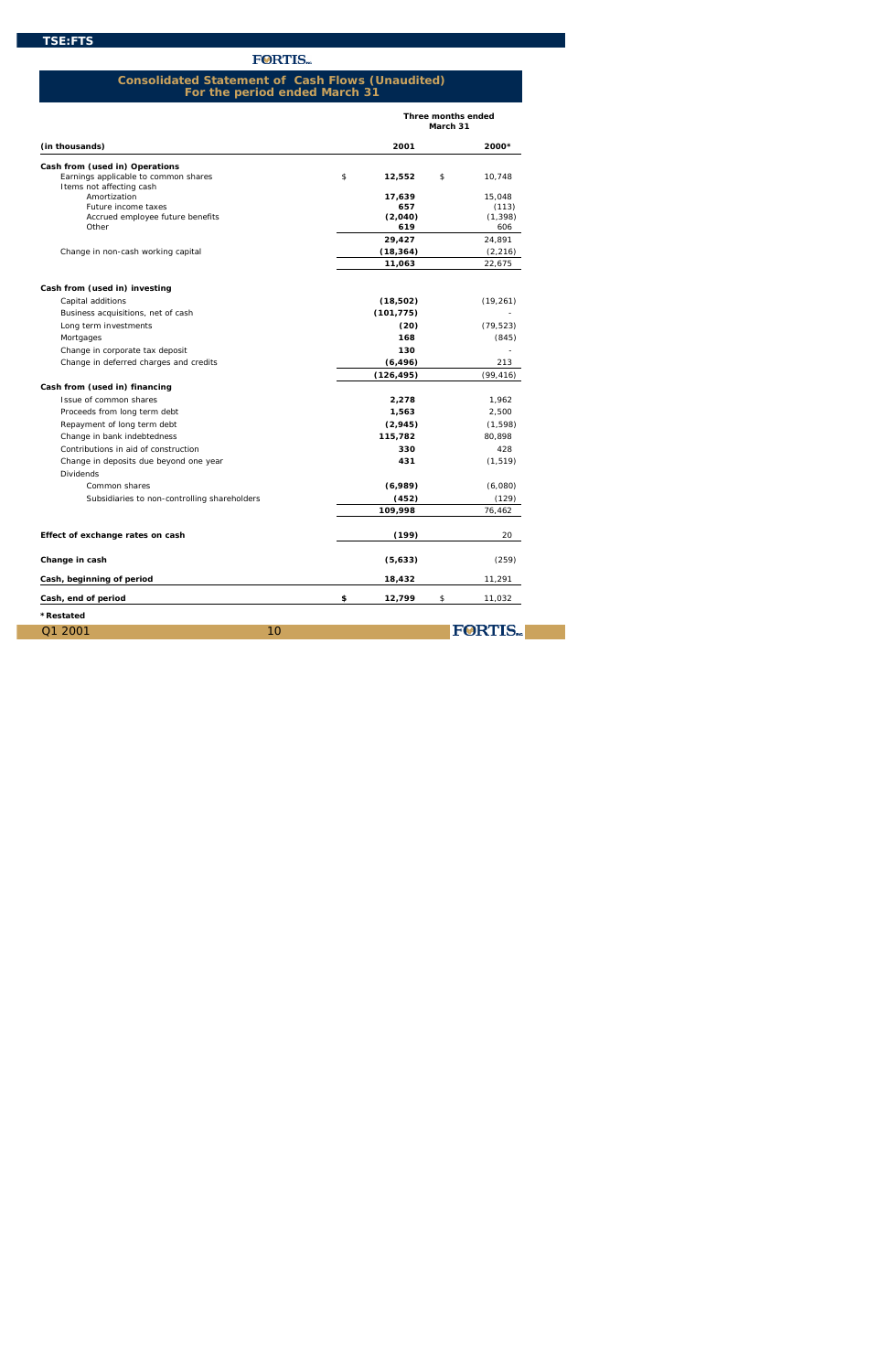|                                              |             | <b>Three months ended</b><br>March 31 |   |                 |  |
|----------------------------------------------|-------------|---------------------------------------|---|-----------------|--|
| (in thousands)                               |             | 2001                                  |   | 2000*           |  |
| <b>Cash from (used in) Operations</b>        |             |                                       |   |                 |  |
| Earnings applicable to common shares         | $\mathbf S$ | 12,552                                | s | 10,748          |  |
| Items not affecting cash<br>Amortization     |             |                                       |   |                 |  |
| Future income taxes                          |             | 17,639<br>657                         |   | 15,048<br>(113) |  |
| Accrued employee future benefits             |             | (2,040)                               |   | (1, 398)        |  |
| Other                                        |             | 619                                   |   | 606             |  |
|                                              |             | 29,427                                |   | 24,891          |  |
| Change in non-cash working capital           |             | (18, 364)                             |   | (2, 216)        |  |
|                                              |             | 11,063                                |   | 22,675          |  |
| Cash from (used in) investing                |             |                                       |   |                 |  |
| Capital additions                            |             | (18,502)                              |   | (19, 261)       |  |
| Business acquisitions, net of cash           |             | (101, 775)                            |   |                 |  |
| Long term investments                        |             | (20)                                  |   | (79, 523)       |  |
| Mortgages                                    |             | 168                                   |   | (845)           |  |
| Change in corporate tax deposit              |             | 130                                   |   |                 |  |
| Change in deferred charges and credits       |             | (6, 496)                              |   | 213             |  |
|                                              |             | (126, 495)                            |   | (99, 416)       |  |
| Cash from (used in) financing                |             |                                       |   |                 |  |
| Issue of common shares                       |             | 2,278                                 |   | 1,962           |  |
| Proceeds from long term debt                 |             | 1,563                                 |   | 2,500           |  |
| Repayment of long term debt                  |             | (2,945)                               |   | (1, 598)        |  |
| Change in bank indebtedness                  |             | 115,782                               |   | 80,898          |  |
| Contributions in aid of construction         |             | 330                                   |   | 428             |  |
| Change in deposits due beyond one year       |             | 431                                   |   | (1, 519)        |  |
| <b>Dividends</b><br>Common shares            |             | (6,989)                               |   | (6,080)         |  |
|                                              |             | (452)                                 |   | (129)           |  |
| Subsidiaries to non-controlling shareholders |             | 109,998                               |   | 76,462          |  |
| Effect of exchange rates on cash             |             | (199)                                 |   | 20              |  |
|                                              |             |                                       |   |                 |  |
| Change in cash                               |             | (5,633)                               |   | (259)           |  |
| Cash, beginning of period                    |             | 18,432                                |   | 11,291          |  |
| Cash, end of period                          | \$          | 12,799                                | s | 11,032          |  |
| <i><b>*Restated</b></i>                      |             |                                       |   |                 |  |
| Q1 2001<br>10                                |             |                                       |   | <b>FORTIS</b>   |  |

### **Consolidated Statement of Cash Flows (Unaudited) For the period ended March 31**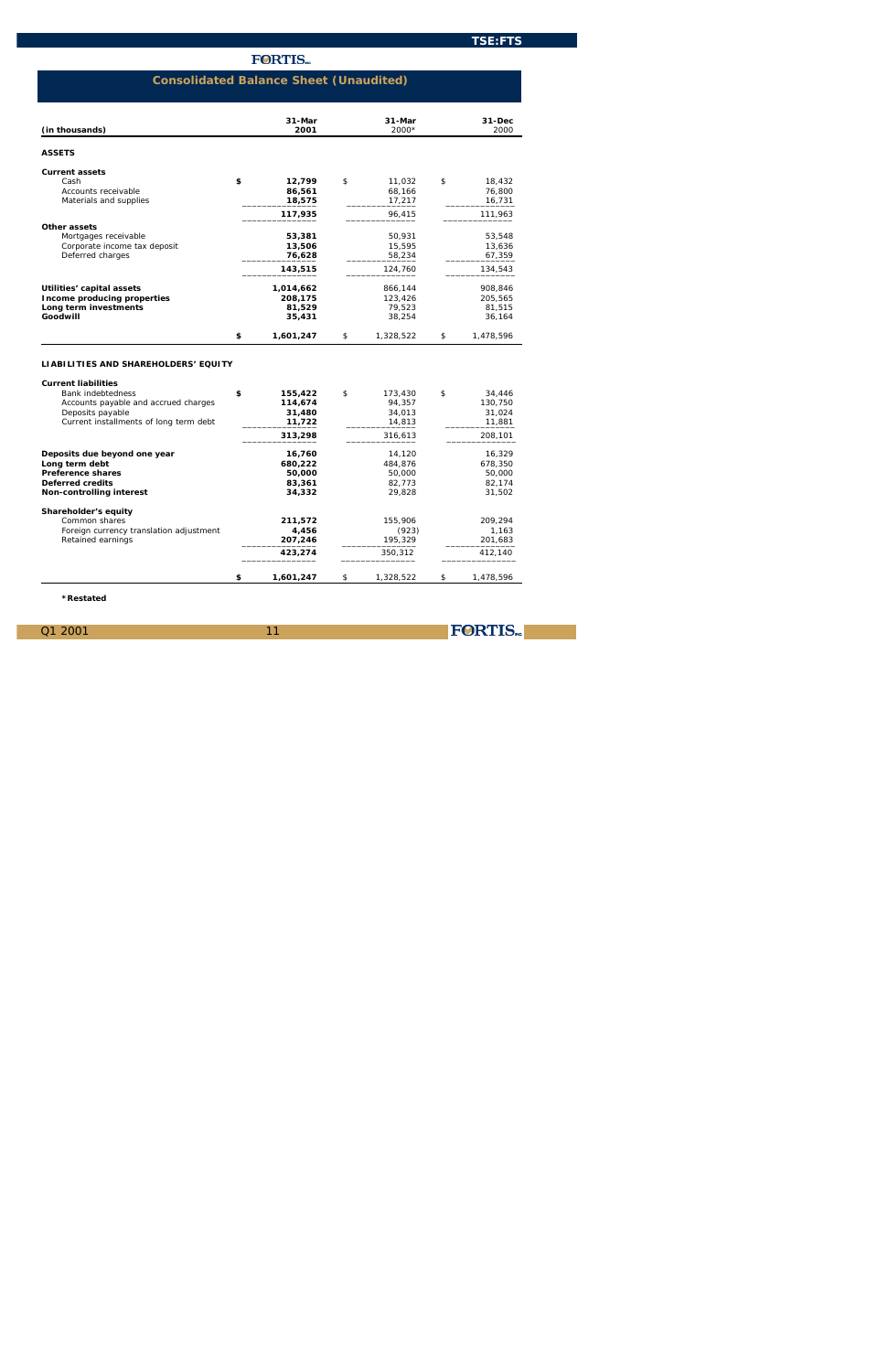FORTIS.

# **FORTIS**

11

| (in thousands)                     |   | $31$ -Mar<br>2001 |   | $31-Mar$<br>$2000*$ |   | $31 - Dec$<br>2000 |
|------------------------------------|---|-------------------|---|---------------------|---|--------------------|
| <b>ASSETS</b>                      |   |                   |   |                     |   |                    |
| <b>Current assets</b>              |   |                   |   |                     |   |                    |
| Cash                               | s | 12,799            | S | 11,032              | s | 18,432             |
| Accounts receivable                |   | 86,561            |   | 68,166              |   | 76,800             |
| Materials and supplies             |   | 18,575            |   | 17,217              |   | 16,731             |
|                                    |   | 117,935           |   | 96,415              |   | 111,963            |
| Other assets                       |   |                   |   |                     |   |                    |
| Mortgages receivable               |   | 53,381            |   | 50,931              |   | 53,548             |
| Corporate income tax deposit       |   | 13,506            |   | 15,595              |   | 13,636             |
| Deferred charges                   |   | 76,628            |   | 58,234              |   | 67,359             |
|                                    |   | 143,515           |   | 124,760             |   | 134,543            |
| Utilities' capital assets          |   | 1,014,662         |   | 866,144             |   | 908,846            |
| <b>Income producing properties</b> |   | 208,175           |   | 123,426             |   | 205,565            |
| Long term investments              |   | 81,529            |   | 79,523              |   | 81,515             |
| Goodwill                           |   | 35,431            |   | 38,254              |   | 36,164             |
|                                    | s | 1,601,247         | s | 1,328,522           | s | 1,478,596          |

## **LIABILITIES AND SHAREHOLDERS' EQUITY**

| <b>Current liabilities</b>              |   |           |   |           |   |           |
|-----------------------------------------|---|-----------|---|-----------|---|-----------|
| <b>Bank indebtedness</b>                | s | 155,422   | s | 173.430   | s | 34.446    |
| Accounts payable and accrued charges    |   | 114,674   |   | 94.357    |   | 130.750   |
| Deposits payable                        |   | 31,480    |   | 34,013    |   | 31,024    |
| Current installments of long term debt  |   | 11,722    |   | 14,813    |   | 11,881    |
|                                         |   | 313,298   |   | 316,613   |   | 208,101   |
| Deposits due beyond one year            |   | 16,760    |   | 14,120    |   | 16.329    |
| Long term debt                          |   | 680.222   |   | 484.876   |   | 678,350   |
| <b>Preference shares</b>                |   | 50,000    |   | 50.000    |   | 50,000    |
| <b>Deferred credits</b>                 |   | 83,361    |   | 82,773    |   | 82,174    |
| <b>Non-controlling interest</b>         |   | 34.332    |   | 29.828    |   | 31.502    |
| <b>Shareholder's equity</b>             |   |           |   |           |   |           |
| Common shares                           |   | 211,572   |   | 155,906   |   | 209.294   |
| Foreign currency translation adjustment |   | 4,456     |   | (923)     |   | 1,163     |
| Retained earnings                       |   | 207,246   |   | 195,329   |   | 201,683   |
|                                         |   | 423,274   |   | 350.312   |   | 412.140   |
|                                         | s | 1,601,247 | s | 1,328,522 | s | 1,478,596 |

*\*Restated*

# **Consolidated Balance Sheet (Unaudited)**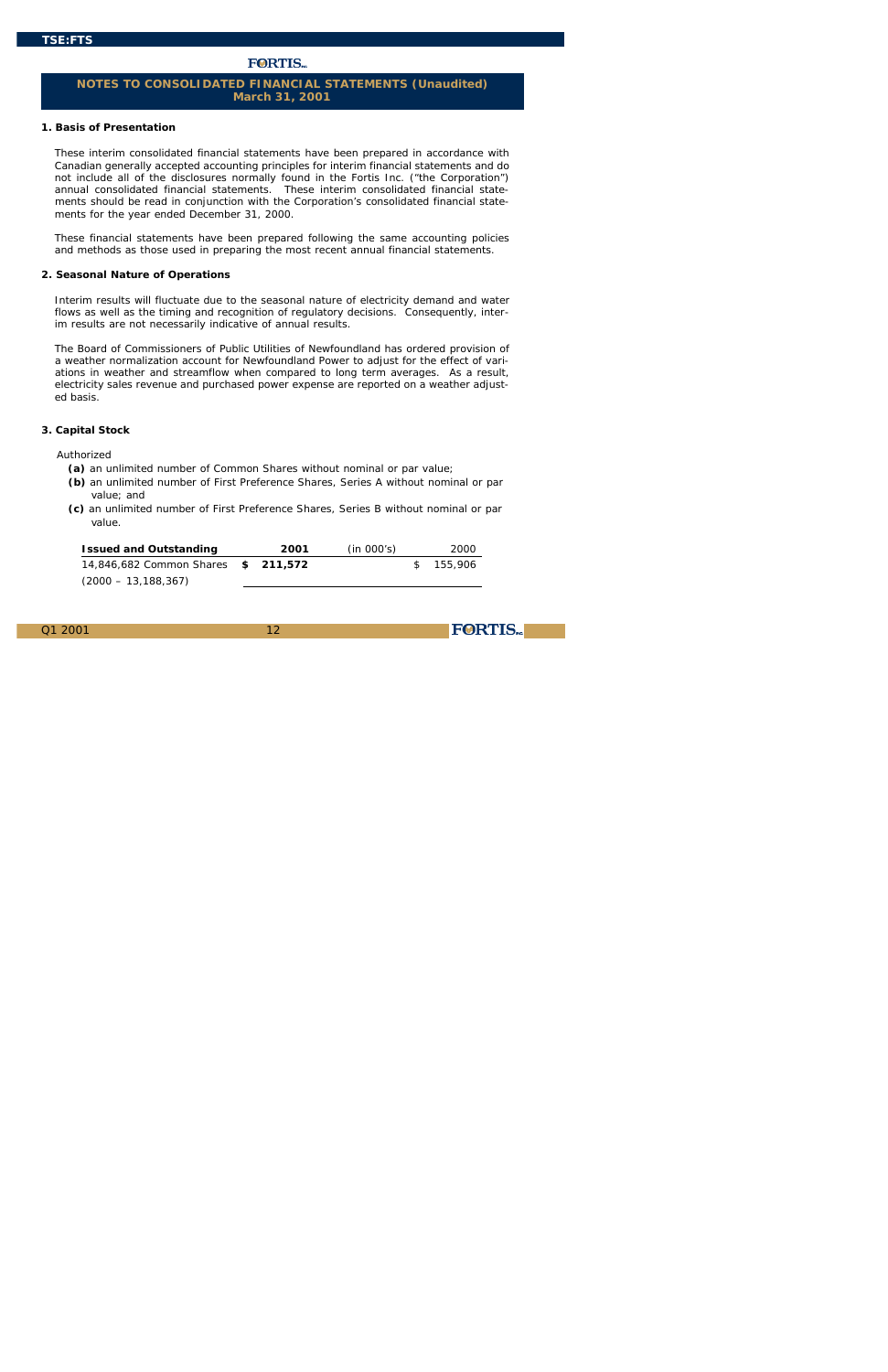# **FORTIS**

12

**FORTIS** 

### **1. Basis of Presentation**

These interim consolidated financial statements have been prepared in accordance with Canadian generally accepted accounting principles for interim financial statements and do not include all of the disclosures normally found in the Fortis Inc. ("the Corporation") annual consolidated financial statements. These interim consolidated financial statements should be read in conjunction with the Corporation's consolidated financial statements for the year ended December 31, 2000.

These financial statements have been prepared following the same accounting policies and methods as those used in preparing the most recent annual financial statements.

### **2. Seasonal Nature of Operations**

Interim results will fluctuate due to the seasonal nature of electricity demand and water flows as well as the timing and recognition of regulatory decisions. Consequently, interim results are not necessarily indicative of annual results.

The Board of Commissioners of Public Utilities of Newfoundland has ordered provision of a weather normalization account for Newfoundland Power to adjust for the effect of variations in weather and streamflow when compared to long term averages. As a result, electricity sales revenue and purchased power expense are reported on a weather adjusted basis.

### **3. Capital Stock**

#### Authorized

- **(a)** an unlimited number of Common Shares without nominal or par value;
- **(b)** an unlimited number of First Preference Shares, Series A without nominal or par value; and
- **(c)** an unlimited number of First Preference Shares, Series B without nominal or par value.

| <b>Issued and Outstanding</b>             | 2001 | (in 000's) | 2000      |
|-------------------------------------------|------|------------|-----------|
| 14.846.682 Common Shares <b>\$211.572</b> |      |            | S 155.906 |
| $(2000 - 13, 188, 367)$                   |      |            |           |

# **NOTES TO CONSOLIDATED FINANCIAL STATEMENTS (Unaudited) March 31, 2001**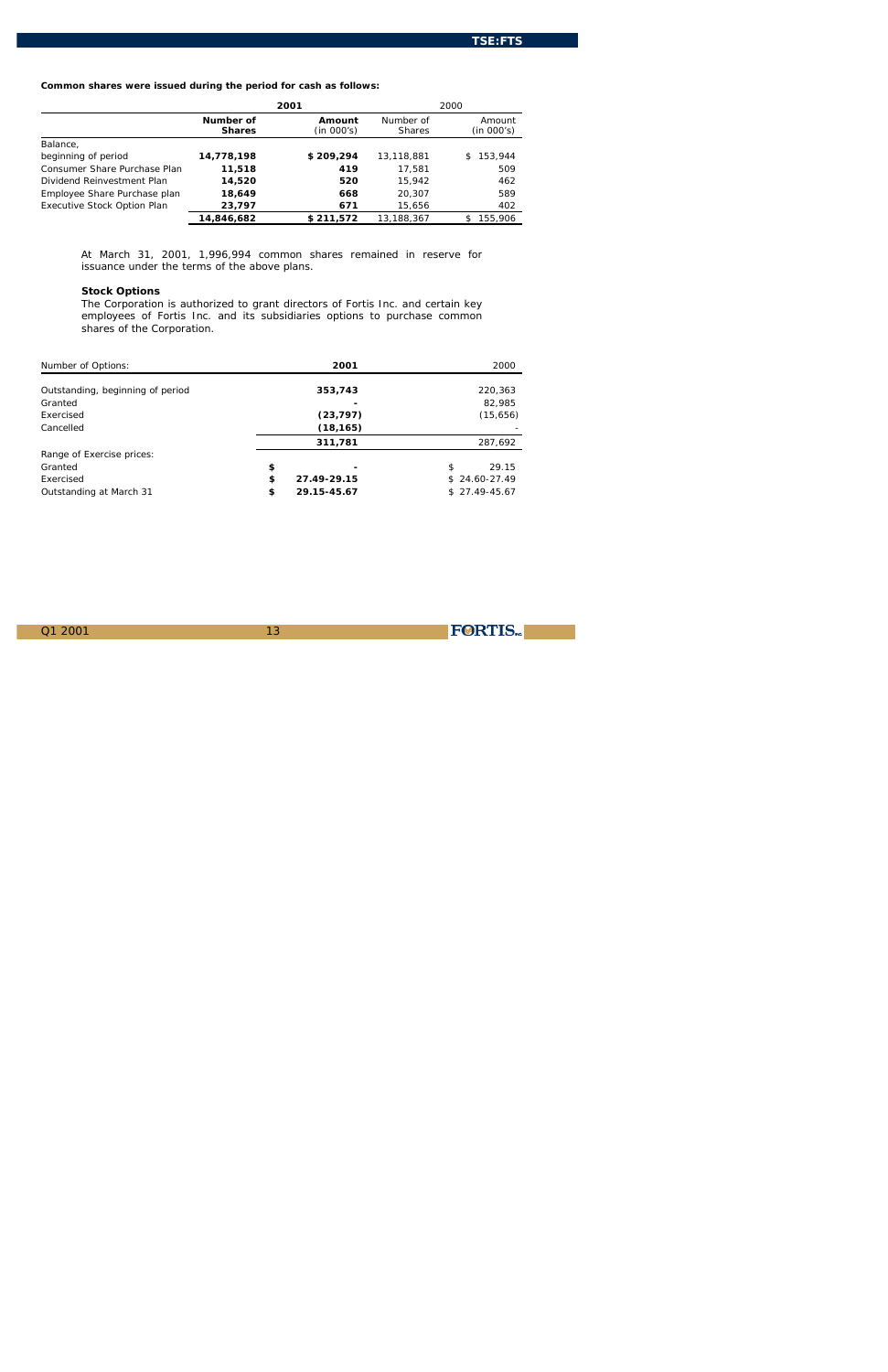13

FORTIS.

# **Common shares were issued during the period for cash as follows:**

|                                    | 2001                       |                      | 2000                       |                      |
|------------------------------------|----------------------------|----------------------|----------------------------|----------------------|
|                                    | Number of<br><b>Shares</b> | Amount<br>(in 000's) | Number of<br><b>Shares</b> | Amount<br>(in 000's) |
| Balance,                           |                            |                      |                            |                      |
| beginning of period                | 14,778,198                 | \$209,294            | 13,118,881                 | 153,944<br>S.        |
| Consumer Share Purchase Plan       | 11,518                     | 419                  | 17,581                     | 509                  |
| Dividend Reinvestment Plan         | 14,520                     | 520                  | 15.942                     | 462                  |
| Employee Share Purchase plan       | 18,649                     | 668                  | 20.307                     | 589                  |
| <b>Executive Stock Option Plan</b> | 23,797                     | 671                  | 15,656                     | 402                  |
|                                    | 14.846.682                 | \$211.572            | 13.188.367                 | 155.906              |

At March 31, 2001, 1,996,994 common shares remained in reserve for issuance under the terms of the above plans.

### **Stock Options**

The Corporation is authorized to grant directors of Fortis Inc. and certain key employees of Fortis Inc. and its subsidiaries options to purchase common shares of the Corporation.

| Number of Options:               |   | 2001        |   | 2000           |
|----------------------------------|---|-------------|---|----------------|
| Outstanding, beginning of period |   | 353,743     |   | 220,363        |
| Granted                          |   |             |   | 82,985         |
| Exercised                        |   | (23,797)    |   | (15, 656)      |
| Cancelled                        |   | (18, 165)   |   |                |
|                                  |   | 311,781     |   | 287,692        |
| Range of Exercise prices:        |   |             |   |                |
| Granted                          | s |             | s | 29.15          |
| Exercised                        | s | 27.49-29.15 |   | $$24.60-27.49$ |
| Outstanding at March 31          | s | 29.15-45.67 |   | $$27.49-45.67$ |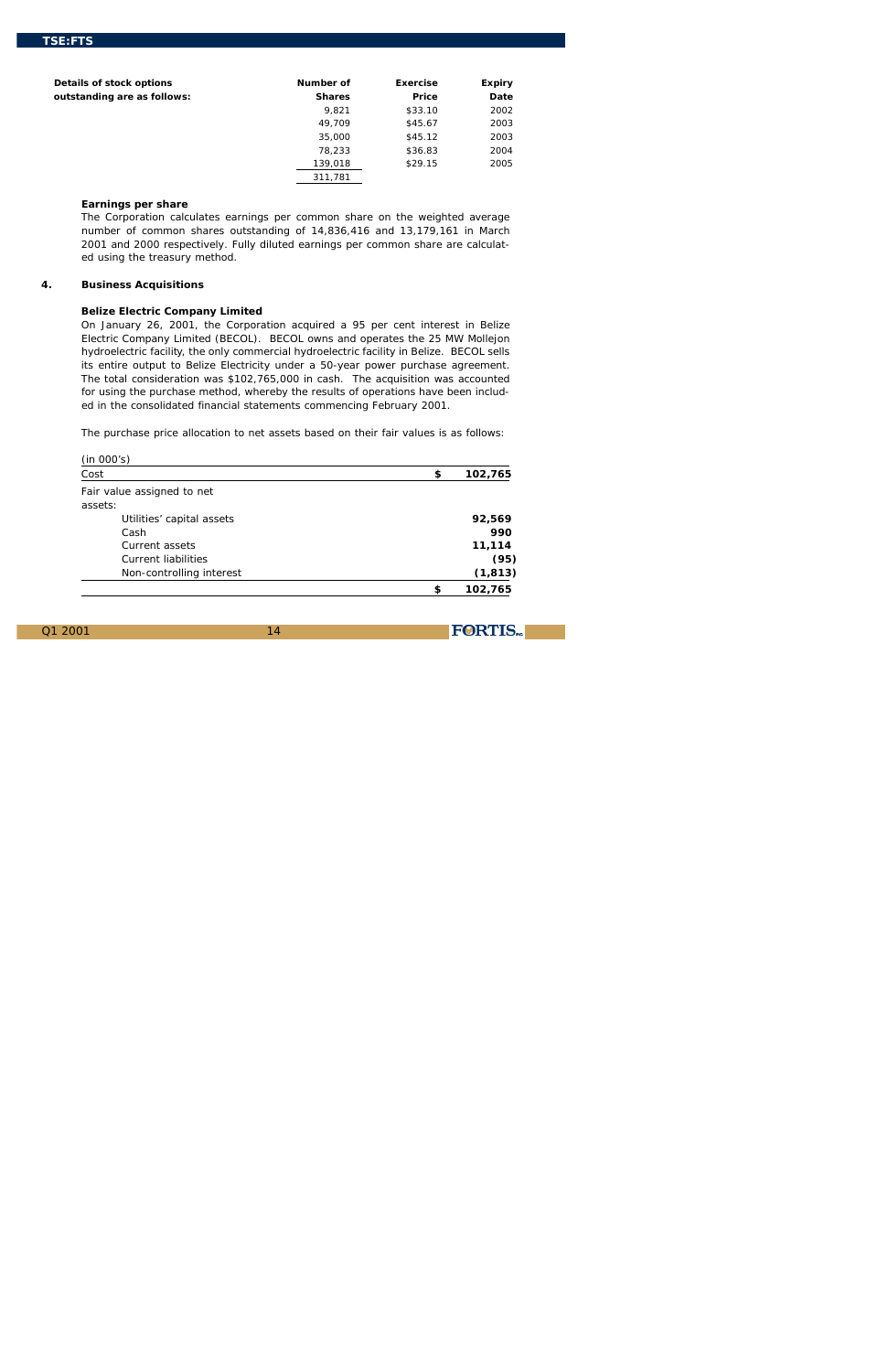14

**FORTIS** 

| Details of stock options    | Number of     | <b>Exercise</b>    | <b>Expiry</b> |
|-----------------------------|---------------|--------------------|---------------|
| outstanding are as follows: | <b>Shares</b> | <b>Price</b>       | <b>Date</b>   |
|                             | 9,821         | \$33.10            | 2002          |
|                             | 49,709        | \$45.67            | 2003          |
|                             | 35,000        | \$45.12            | 2003          |
|                             | 78,233        | \$36.83            | 2004          |
|                             | 139,018       | S <sub>29.15</sub> | 2005          |
|                             | 311,781       |                    |               |

### **Earnings per share**

The Corporation calculates earnings per common share on the weighted average number of common shares outstanding of 14,836,416 and 13,179,161 in March 2001 and 2000 respectively. Fully diluted earnings per common share are calculated using the treasury method.

### **4. Business Acquisitions**

### **Belize Electric Company Limited**

On January 26, 2001, the Corporation acquired a 95 per cent interest in Belize Electric Company Limited (BECOL). BECOL owns and operates the 25 MW Mollejon hydroelectric facility, the only commercial hydroelectric facility in Belize. BECOL sells its entire output to Belize Electricity under a 50-year power purchase agreement. The total consideration was \$102,765,000 in cash. The acquisition was accounted for using the purchase method, whereby the results of operations have been included in the consolidated financial statements commencing February 2001.

The purchase price allocation to net assets based on their fair values is as follows:

| (in 000's)<br>Cost         | S | 102,765  |
|----------------------------|---|----------|
| Fair value assigned to net |   |          |
| assets:                    |   |          |
| Utilities' capital assets  |   | 92,569   |
| Cash                       |   | 990      |
| Current assets             |   | 11,114   |
| <b>Current liabilities</b> |   | (95)     |
| Non-controlling interest   |   | (1, 813) |
|                            | s | 102,765  |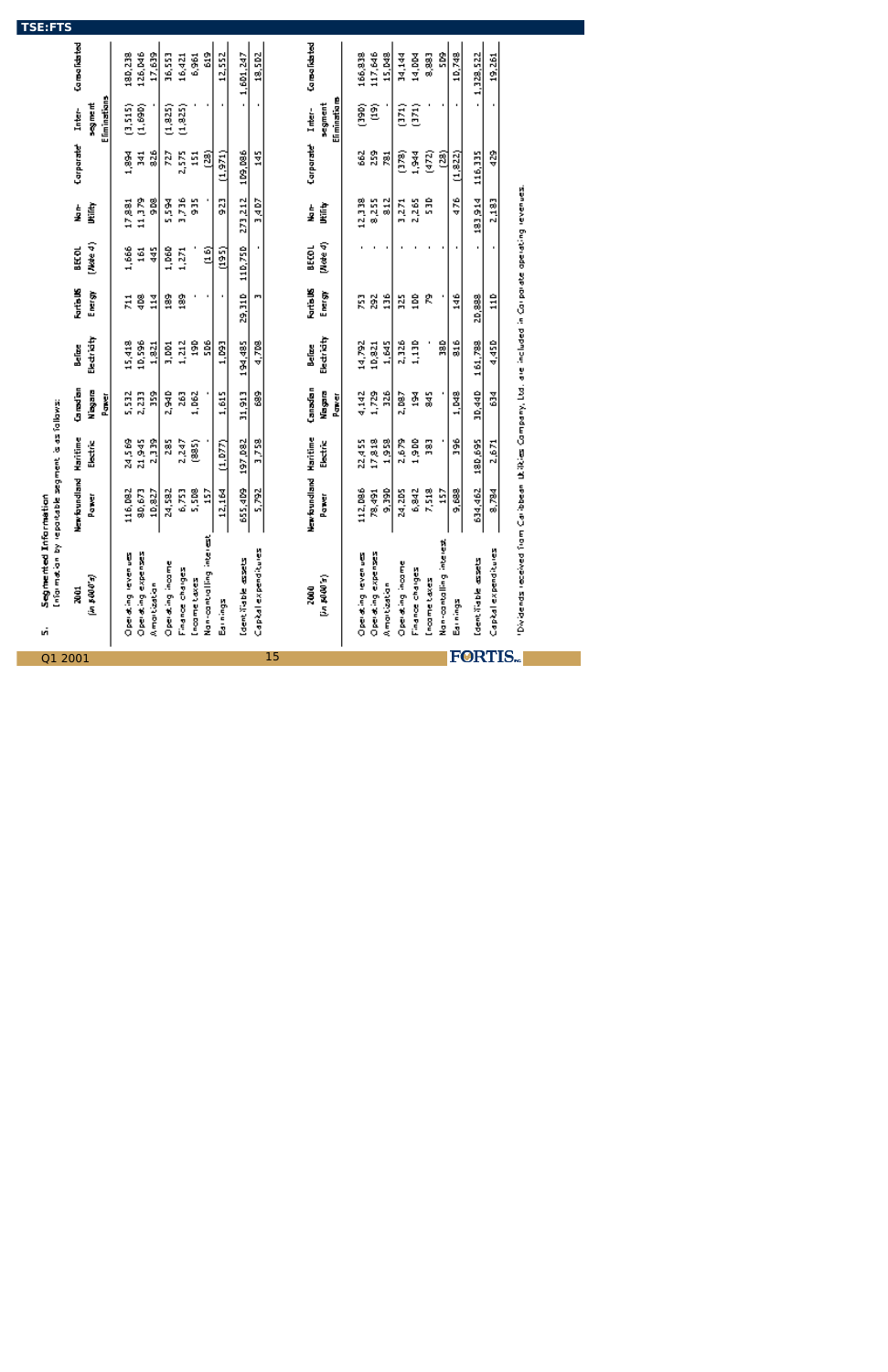| Q1            | Segmented Information<br>Information by re<br>ıñ                                                     | portable segment is as follows: |               |              |             |                  |                |             |                  |                                |              |
|---------------|------------------------------------------------------------------------------------------------------|---------------------------------|---------------|--------------|-------------|------------------|----------------|-------------|------------------|--------------------------------|--------------|
| 2001          | ă                                                                                                    | New foundland                   | Haritime      | Canedian     | Believe     | <b>Rartis US</b> | <b>BEKOL</b>   | t<br>F      | Corporate        | Inter-                         | Consolidated |
|               | (په ۱۹۹۵ م)                                                                                          | Pawer                           | Electric      | <b>Biske</b> | Electricity | Energy           | (4)            | 听话          |                  | na ang ma                      |              |
|               |                                                                                                      |                                 |               | i<br>Dans    |             |                  |                |             |                  | Eliminatians                   |              |
|               | Operating revenues                                                                                   | 116,082                         | 24.569        | 5,532        | 15,418      | $\vec{z}$        | 1,666          | 17,881      | 1,894            | (3,515)                        | 180,238      |
|               | Operating expenses                                                                                   | 80,673                          | 21,945        | 2,233        | 10,596      | g                | 161            | 11,379      | ă                | (1,690)                        | 126,046      |
|               | Amortization                                                                                         | 10,827                          | 2,339         | å            | 1,821       | $\frac{3}{14}$   | ¥              | g           | 26               |                                | 17,639       |
|               | Operating income                                                                                     | 24,582                          | 285           | 2,940        | 3, DD1      | 3                | 1,060          | <b>Risa</b> | 727              | (1, 8.25)                      | 36,553       |
|               | Finance charges                                                                                      | 6,753                           | 2,247         | 263          | 1,212       | 8                | 1,271          | 3,736       | 2,575            | (1,825)                        | 16,421       |
|               | Income taxes                                                                                         | 5,508                           | $\frac{2}{3}$ | 1,062        | å           |                  |                | 55          | $\frac{151}{25}$ |                                | 6,961        |
|               | Non-controlling interest                                                                             | ă                               |               |              | ន្តិ        |                  | $\frac{6}{10}$ |             | මූ               |                                | \$           |
|               | Earnings                                                                                             | 12,164                          | (1, 0.77)     | 1,615        | 1,093       | ٠                | (195)          | 523         | (1, 971)         | ı                              | 12,552       |
|               | Identifiable essets                                                                                  | 655,409                         | 197,082       | 31,913       | 194,485     | 29,310           | 110,750        | 273,212     | 109,086          | ٠                              | 1,601,247    |
|               | Capital expenditures                                                                                 | 5,792                           | 3,758         | 8            | 4,718       | Ē                |                | 3,4D7       | ã                |                                | 18,502       |
| 15            |                                                                                                      |                                 |               |              |             |                  |                |             |                  |                                |              |
|               | 2000                                                                                                 | New foundland                   | Haritime      | Canadian     | Be fasc     | <b>Rartis US</b> | BEKOL          | t<br>F      | Corporate        | Inter-                         | Consolidated |
|               | (E 00 04 mi)                                                                                         | Paner                           | Electric      | Nagara       | Electricity | Energy           | (Note 4)       | Utility     |                  | segment                        |              |
|               |                                                                                                      |                                 |               | Panver       |             |                  |                |             |                  | Eli minatio re                 |              |
|               | Operating revenues                                                                                   | 112,096                         | 22,455        | 4,142        | 14,792      | E                |                | 12,338      | 562              | (390)                          | 166,838      |
|               | Operating expenses                                                                                   | 78,491                          | 17,818        | 1,729        | 10,821      | 292              | ٠              | 8,255       | 33               | g                              | 117,646      |
|               | Amortization                                                                                         | 9,390                           | 1,958         | 326          | 1,645       | ã                |                | 812         | ğ                |                                | 15, M8       |
|               | Operating income                                                                                     | 24,205                          | 2,679         | 2,087        | 2,326       | 325              |                | 3,2.71      | ලි               | $\left( \frac{371}{2} \right)$ | 34,144       |
|               | Finance charges                                                                                      | 6,842                           | å             | ğ            | 1,130       | ĝ                |                | 2,265       | 1,944            | $\binom{371}{2}$               | 14, DM       |
|               | Income taxes                                                                                         | 7,518                           | g             | ã            |             | R                |                | ដឹ          | (472)            |                                | 8,883        |
|               | Non-contailing interest                                                                              | ដ្ឋ                             |               |              | ã           |                  |                |             | මූ               |                                | ន្តិ         |
|               | Barnings                                                                                             | 9,699                           | å             | 1,M8         | 316         | 146              | ٠              | 476         | (1, 822)         | ٠                              | 10,748       |
|               | Identifiable assets                                                                                  | 634,462                         | 180,695       | 30,440       | 161,788     | 20,333           |                | 183,914     | 116,335          |                                | 1,328,522    |
|               | Capital expenditures                                                                                 | 8.784                           | 2,6.71        | 중            | 4,45D       | å                |                | 2,183       | Ş                |                                | 19,261       |
| <b>FORTIS</b> | Dividends received from Caribbean Difties Company, Ltd. are included in Corporate operating revenues |                                 |               |              |             |                  |                |             |                  |                                |              |
|               |                                                                                                      |                                 |               |              |             |                  |                |             |                  |                                |              |
|               |                                                                                                      |                                 |               |              |             |                  |                |             |                  |                                |              |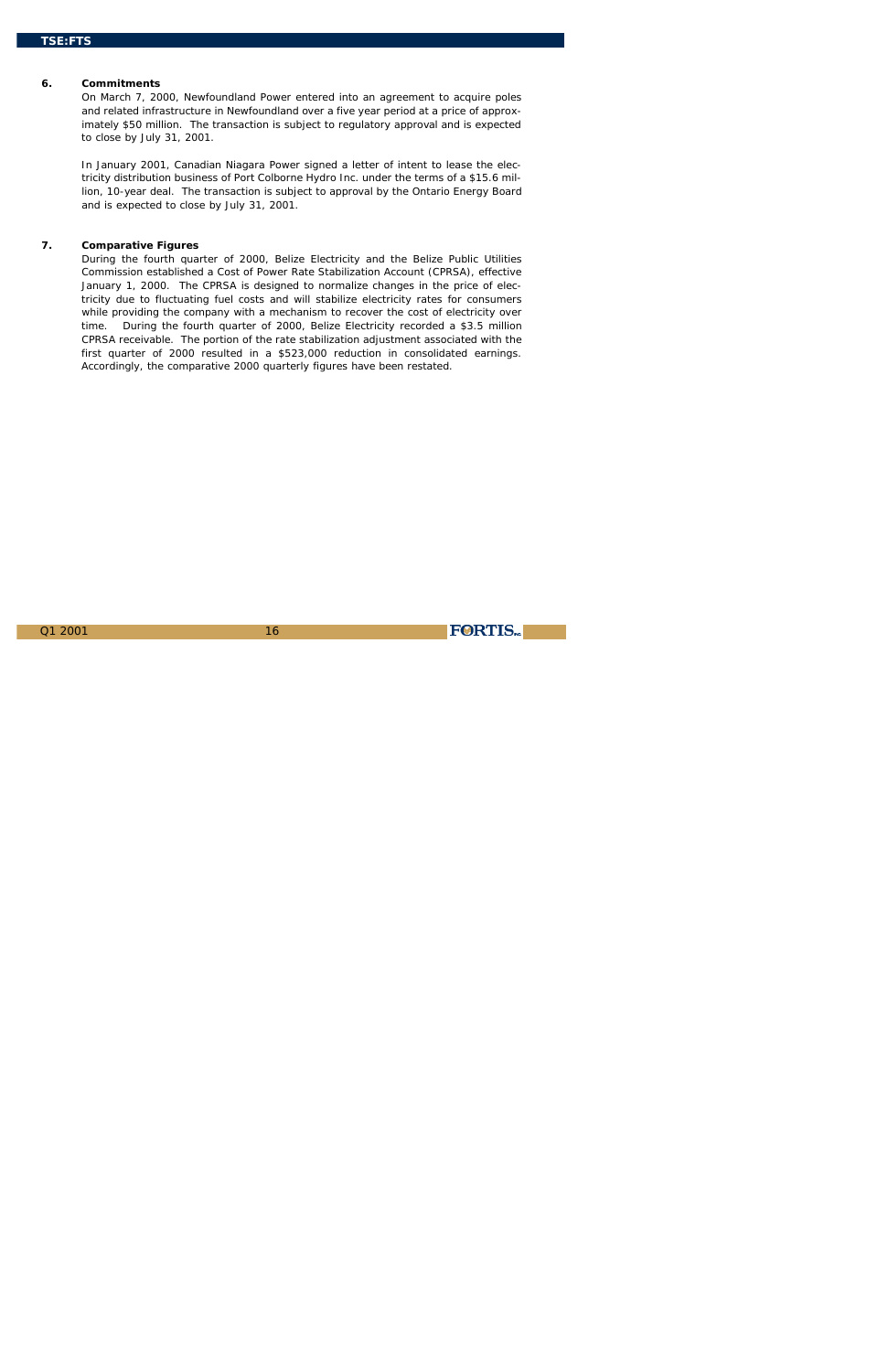16

**FORTIS** 

### **6. Commitments**

On March 7, 2000, Newfoundland Power entered into an agreement to acquire poles and related infrastructure in Newfoundland over a five year period at a price of approximately \$50 million. The transaction is subject to regulatory approval and is expected to close by July 31, 2001.

In January 2001, Canadian Niagara Power signed a letter of intent to lease the electricity distribution business of Port Colborne Hydro Inc. under the terms of a \$15.6 million, 10-year deal. The transaction is subject to approval by the Ontario Energy Board and is expected to close by July 31, 2001.

### **7. Comparative Figures**

During the fourth quarter of 2000, Belize Electricity and the Belize Public Utilities Commission established a Cost of Power Rate Stabilization Account (CPRSA), effective January 1, 2000. The CPRSA is designed to normalize changes in the price of electricity due to fluctuating fuel costs and will stabilize electricity rates for consumers while providing the company with a mechanism to recover the cost of electricity over time. During the fourth quarter of 2000, Belize Electricity recorded a \$3.5 million CPRSA receivable. The portion of the rate stabilization adjustment associated with the first quarter of 2000 resulted in a \$523,000 reduction in consolidated earnings. Accordingly, the comparative 2000 quarterly figures have been restated.